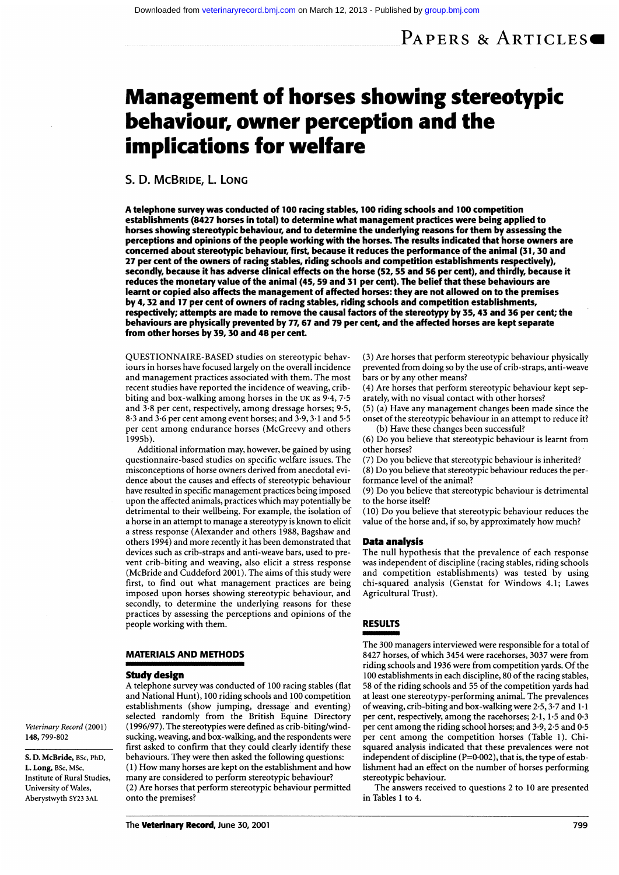# Management of horses showing stereotypic behaviour, owner perception and the implications for welfare

## S. D. MCBRIDE, L. LONG

A telephone survey was conducted of 100 racing stables, 100 riding schools and 100 competition establishments (8427 horses in total) to determine what management practices were being applied to horses showing stereotypic behaviour, and to determine the underlying reasons for them by assessing the perceptions and opinions of the people working with the horses. The results indicated that horse owners are concerned about stereotypic behaviour, first, because it reduces the performance of the animal (31,30 and 27 per cent of the owners of racing stables, riding schools and competition establishments respectively), secondly, because it has adverse clinical effects on the horse (52, 55 and 56 per cent), and thirdly, because it reduces the monetary value of the animal (45, 59 and 31 per cent). The belief that these behaviours are learnt or copied also affects the management of affected horses: they are not allowed on to the premises by 4,32 and 17 per cent of owners of racing stables, riding schools and competition establishments, respectively; attempts are made to remove the causal factors of the stereotypy by 35,43 and 36 per cent; the behaviours are physically prevented by 77,67 and 79 per cent, and the affected horses are kept separate from other horses by 39,30 and 48 per cent.

QUESTIONNAIRE-BASED studies on stereotypic behaviours in horses have focused largely on the overall incidence and management practices associated with them. The most recent studies have reported the incidence of weaving, cribbiting and box-walking among horses in the UK as  $9.4$ ,  $7.5$ and 3.8 per cent, respectively, among dressage horses; 9.5,  $8\cdot 3$  and  $3\cdot 6$  per cent among event horses; and  $3\cdot 9,$   $3\cdot 1$  and  $5\cdot 5$ per cent among endurance horses (McGreevy and others  $1995b$ ).

Additional information may, however, be gained by using questionnaire-based studies on specific welfare issues. The misconceptions of horse owners derived from anecdotal evidence about the causes and effects of stereotypic behaviour have resulted in specific management practices being imposed upon the affected animals, practices which may potentially be detrimental to their wellbeing. For example, the isolation of a horse in an attempt to manage a stereotypy is known to elicit a stress response (Alexander and others 1988, Bagshaw and others 1994) and more recently it has been demonstrated that devices such as crib-straps and anti-weave bars, used to prevent crib-biting and weaving, also elicit a stress response (McBride and Cuddeford 2001). The aims of this study were first, to find out what management practices are being imposed upon horses showing stereotypic behaviour, and secondly, to determine the underlying reasons for these practices by assessing the perceptions and opinions of the people working with them.

### MATERIALS AND METHODS

## Study design

Veterinary Record (2001)

S. D. McBride, BSc, PhD, L. Long, BSc, MSc, Institute of Rural Studies, University of Wales, Aberystwyth SY23 3AL

148, 799-802

A telephone survey was conducted of <sup>100</sup> racing stables (flat and National Hunt), 100 riding schools and 100 competition establishments (show jumping, dressage and eventing) selected randomly from the British Equine Directory (1996/97). The stereotypies were defined as crib-biting/windsucking, weaving, and box-walking, and the respondents were first asked to confirm that they could clearly identify these behaviours. They were then asked the following questions: (1) How many horses are kept on the establishment and how many are considered to perform stereotypic behaviour? (2) Are horses that perform stereotypic behaviour permitted onto the premises?

(3) Are horses that perform stereotypic behaviour physically prevented from doing so by the use of crib-straps, anti-weave bars or by any other means?

(4) Are horses that perform stereotypic behaviour kept separately, with no visual contact with other horses?

(5) (a) Have any management changes been made since the onset of the stereotypic behaviour in an attempt to reduce it? (b) Have these changes been successful?

(6) Do you believe that stereotypic behaviour is learnt from other horses?

(7) Do you believe that stereotypic behaviour is inherited?

(8) Do you believe that stereotypic behaviour reduces the performance level of the animal?

(9) Do you believe that stereotypic behaviour is detrimental to the horse itself?

(10) Do you believe that stereotypic behaviour reduces the value of the horse and, if so, by approximately how much?

#### Data analysis

The null hypothesis that the prevalence of each response was independent of discipline (racing stables, riding schools and competition establishments) was tested by using chi-squared analysis (Genstat for Windows 4.1; Lawes Agricultural Trust).

## RESULTS

The 300 managers interviewed were responsible for a total of 8427 horses, of which 3454 were racehorses, 3037 were from riding schools and 1936 were from competition yards. Of the 100 establishments in each discipline, 80 of the racing stables, 58 of the riding schools and 55 of the competition yards had at least one stereotypy-performing animal. The prevalences of weaving, crib-biting and box-walking were 2-5,3-7 and 1. <sup>1</sup> per cent, respectively, among the racehorses; 2.1, 1.5 and 0.3 per cent among the riding school horses; and <sup>3</sup> 9, 2-5 and 0 5 per cent among the competition horses (Table 1). Chisquared analysis indicated that these prevalences were not independent of discipline  $(P=0.002)$ , that is, the type of establishment had an effect on the number of horses performing stereotypic behaviour.

The answers received to questions 2 to 10 are presented in Tables I to 4.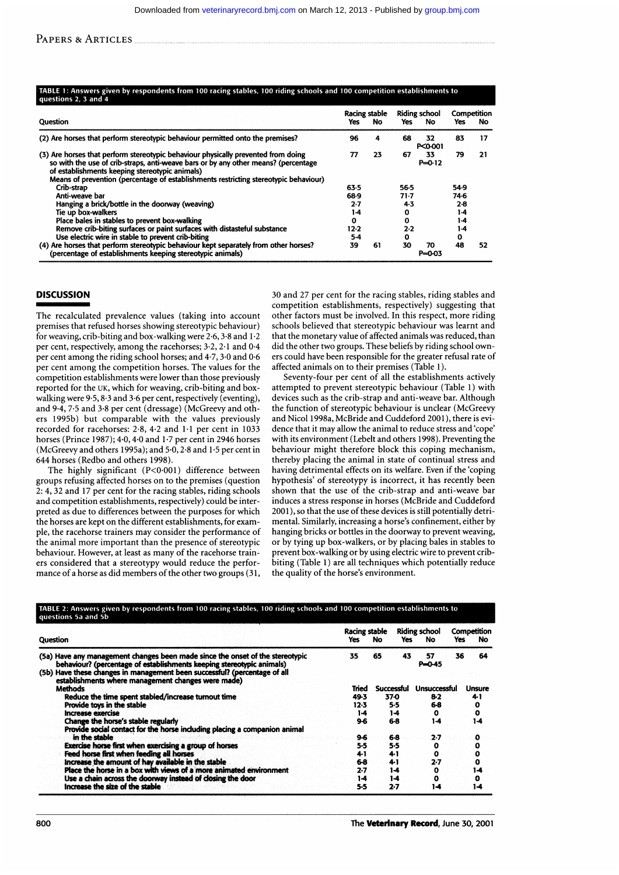PAPERS & ARTICLES

#### ABLE 1: Answers given by respondents from 100 racing stables, 100 riding schools and 100 competition establishments to estions 2, 3 and

|                                                                                                                                                                                                                                                                                                                   |      | Racing stable |      | <b>Riding school</b> | Competition |     |
|-------------------------------------------------------------------------------------------------------------------------------------------------------------------------------------------------------------------------------------------------------------------------------------------------------------------|------|---------------|------|----------------------|-------------|-----|
| Question                                                                                                                                                                                                                                                                                                          | Yes  | No            | Yes  | No.                  | Yes         | No. |
| (2) Are horses that perform stereotypic behaviour permitted onto the premises?                                                                                                                                                                                                                                    | 96   | 4.            | 68   | 32<br>P<0-001        | 83          | 17  |
| (3) Are horses that perform stereotypic behaviour physically prevented from doing<br>so with the use of crib-straps, anti-weave bars or by any other means? (percentage<br>of establishments keeping stereotypic animals)<br>Means of prevention (percentage of establishments restricting stereotypic behaviour) | 77   | 23            | 67   | 33<br>$P = 0.12$     | 79          | 21  |
| Crib-strap                                                                                                                                                                                                                                                                                                        | 63.5 |               | 56-5 |                      | 54.9        |     |
| Anti-weave bar                                                                                                                                                                                                                                                                                                    |      |               | 71 7 |                      | 74 6        |     |
| Hanging a brick/bottle in the doorway (weaving)                                                                                                                                                                                                                                                                   | 2.7  |               | 4-3  |                      | $2-8$       |     |
| Tie up box-walkers                                                                                                                                                                                                                                                                                                | 1-4  |               | 0    |                      | $1-4$       |     |
| Place bales in stables to prevent box-walking                                                                                                                                                                                                                                                                     | 0    |               | 0    |                      | 1.4         |     |
| Remove crib-biting surfaces or paint surfaces with distasteful substance                                                                                                                                                                                                                                          | 12-2 |               | 2.2  |                      | 1.4         |     |
| Use electric wire in stable to prevent crib-biting                                                                                                                                                                                                                                                                |      |               | ٥    |                      | 0           |     |
| (4) Are horses that perform stereotypic behaviour kept separately from other horses?<br>(percentage of establishments keeping stereotypic animals)                                                                                                                                                                |      | 61            | 30   | 70<br>P=0-03         | 48          | 52  |

## **DISCUSSION**

The recalculated prevalence values (taking into account premises that refused horses showing stereotypic behaviour) for weaving, crib-biting and box-walking were 2-6,3-8 and 1.2 per cent, respectively, among the racehorses; 3-2, 2-1 and 0-4 per cent among the riding school horses; and 4-7, 3-0 and 0-6 per cent among the competition horses. The values for the competition establishments were lower than those previously reported for the UK, which for weaving, crib-biting and boxwalking were 9-5, 8-3 and 3-6 per cent, respectively (eventing), and 9-4, 7-5 and 3-8 per cent (dressage) (McGreevy and others 1995b) but comparable with the values previously recorded for racehorses: 2-8, 4-2 and 1-1 per cent in 1033 horses (Prince 1987); 4.0, 4.0 and 1.7 per cent in 2946 horses (McGreevy and others 1995a); and  $5-0$ ,  $2-8$  and  $1-5$  per cent in 644 horses (Redbo and others 1998).

The highly significant (P<0-001) difference between groups refusing affected horses on to the premises (question 2: 4, 32 and 17 per cent for the racing stables, riding schools and competition establishments, respectively) could be interpreted as due to differences between the purposes for which the horses are kept on the different establishments, for example, the racehorse trainers may consider the performance of the animal more important than the presence of stereotypic behaviour. However, at least as many of the racehorse trainers considered that a stereotypy would reduce the performance of a horse as did members of the other two groups (31,

30 and 27 per cent for the racing stables, riding stables and competition establishments, respectively) suggesting that other factors must be involved. In this respect, more riding schools believed that stereotypic behaviour was learnt and that the monetary value of affected animals was reduced, than did the other two groups. These beliefs by riding school owners could have been responsible for the greater refusal rate of affected animals on to their premises (Table 1).

Seventy-four per cent of all the establishments actively attempted to prevent stereotypic behaviour (Table 1) with devices such as the crib-strap and anti-weave bar. Although the function of stereotypic behaviour is unclear (McGreevy and Nicol 1998a, McBride and Cuddeford 2001), there is evidence that it may allow the animal to reduce stress and'cope' with its environment (Lebelt and others 1998). Preventing the behaviour might therefore block this coping mechanism, thereby placing the animal in state of continual stress and having detrimental effects on its welfare. Even if the 'coping hypothesis' of stereotypy is incorrect, it has recently been shown that the use of the crib-strap and anti-weave bar induces a stress response in horses (McBride and Cuddeford 2001), so that the use of these devices is still potentially detrimental. Similarly, increasing a horse's confinement, either by hanging bricks or bottles in the doorway to prevent weaving, or by tying up box-walkers, or by placing bales in stables to prevent box-walking or by using electric wire to prevent cribbiting (Table 1) are all techniques which potentially reduce the quality of the horse's environment.

# <mark>ABLE</mark> 2: Answers given by respondents from 100 racing stables, 100 riding schools and 100 competition esta<br>uestions 5a and 5b

| <b>Question</b><br>(5a) Have any management changes been made since the onset of the stereotypic<br>behaviour? (percentage of establishments keeping stereotypic animals)<br>(5b) Have these changes in management been successful? (percentage of all<br>establishments where management changes were made) |       | Racing stable<br>No. | Yes        | <b>Riding school</b><br>No. | Yes | Competition<br>No |
|--------------------------------------------------------------------------------------------------------------------------------------------------------------------------------------------------------------------------------------------------------------------------------------------------------------|-------|----------------------|------------|-----------------------------|-----|-------------------|
|                                                                                                                                                                                                                                                                                                              |       | 65                   | 43         | 57<br>$P = 0.45$            | 36  | 64                |
| <b>Methods</b>                                                                                                                                                                                                                                                                                               | Tried |                      | Successful | <b>Unsuccessful</b>         |     | <b>Unsure</b>     |
| Reduce the time spent stabled/increase turnout time                                                                                                                                                                                                                                                          | 49.3  |                      | 37-0       | $8-2$                       |     | 41                |
| Provide toys in the stable                                                                                                                                                                                                                                                                                   |       |                      | 5.5        | 6-8                         |     | 0                 |
| Increase exercise                                                                                                                                                                                                                                                                                            | 1-4   |                      | 1-4        | $\mathbf o$                 |     | o                 |
| Change the horse's stable regularly                                                                                                                                                                                                                                                                          | 96    | 6.8                  |            | 1-4                         |     | 1-4               |
| Provide social contact for the horse including placing a companion animal                                                                                                                                                                                                                                    |       |                      |            |                             |     |                   |
| in the stable                                                                                                                                                                                                                                                                                                | 96    |                      | 68         | 2.7                         |     | o                 |
| Exercise horse first when exercising a group of horses                                                                                                                                                                                                                                                       | 5.5   |                      | 5.5        | o                           |     | 0                 |
| Feed horse first when feeding all horses                                                                                                                                                                                                                                                                     | 41    |                      | $4 - 1$    | o                           |     | 0                 |
| increase the amount of hay available in the stable                                                                                                                                                                                                                                                           | 6-8   |                      | 41         | $2 - 7$                     |     | a                 |
| Place the horse in a box with views of a more animated environment                                                                                                                                                                                                                                           | 2.7   |                      | $1-4$      | o                           |     | 1-4               |
| Use a chain across the doorway instead of closing the door                                                                                                                                                                                                                                                   | 14    |                      | $1-4$      | ٥                           |     | o                 |
| Increase the size of the stable                                                                                                                                                                                                                                                                              | 5.5   |                      | 2.7        | 14                          |     | 14                |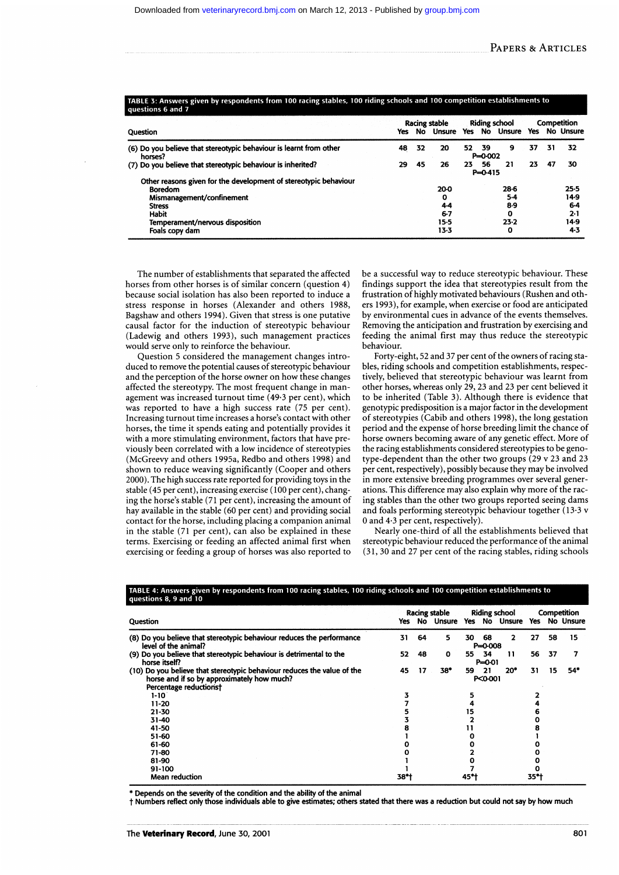| . .<br>. .<br>. .<br>questions 6 and 7                                        |    |    |                                       |     |                      |                                       |    |    |                              |
|-------------------------------------------------------------------------------|----|----|---------------------------------------|-----|----------------------|---------------------------------------|----|----|------------------------------|
| Question                                                                      |    |    | <b>Racing stable</b><br>Yes No Unsure |     |                      | <b>Riding school</b><br>Yes No Unsure |    |    | Competition<br>Yes No Unsure |
| (6) Do you believe that stereotypic behaviour is learnt from other<br>horses? | 48 | 32 | 20                                    |     | 52 39<br>$P = 0.002$ | 9                                     | 37 | 31 | 32                           |
| (7) Do you believe that stereotypic behaviour is inherited?                   | 29 | 45 | 26                                    | 23. | - 56<br>$P = 0.415$  | 21                                    | 23 | 47 | 30                           |
| Other reasons given for the development of stereotypic behaviour              |    |    |                                       |     |                      |                                       |    |    |                              |
| <b>Boredom</b>                                                                |    |    | 20-0                                  |     |                      | 28-6                                  |    |    | 25.5                         |
| Mismanagement/confinement                                                     |    |    | o                                     |     |                      | 5-4                                   |    |    | 14.9                         |
| <b>Stress</b>                                                                 |    |    | 4.4                                   |     |                      | 8.9                                   |    |    | 6.4                          |
| <b>Habit</b>                                                                  |    |    | $6 - 7$                               |     |                      | $\mathbf{o}$                          |    |    | 2-1                          |
| Temperament/nervous disposition                                               |    |    | 15-5                                  |     |                      | 23.2                                  |    |    | 14.9                         |
| Foals copy dam                                                                |    |    | 13.3                                  |     |                      | 0                                     |    |    | 4.3                          |

TARLE 3: Answers given by respondents from 100 racing stables 100 riding schools and 100 competition establishments to

The number of establishments that separated the affected horses from other horses is of similar concern (question 4) because social isolation has also been reported to induce a stress response in horses (Alexander and others 1988, Bagshaw and others 1994). Given that stress is one putative causal factor for the induction of stereotypic behaviour (Ladewig and others 1993), such management practices would serve only to reinforce the behaviour.

Question 5 considered the management changes introduced to remove the potential causes of stereotypic behaviour and the perception of the horse owner on how these changes affected the stereotypy. The most frequent change in management was increased turnout time (49.3 per cent), which was reported to have a high success rate (75 per cent). Increasing turnout time increases a horse's contact with other horses, the time it spends eating and potentially provides it with a more stimulating environment, factors that have previously been correlated with a low incidence of stereotypies (McGreevy and others 1995a, Redbo and others 1998) and shown to reduce weaving significantly (Cooper and others 2000). The high success rate reported for providing toys in the stable (45 per cent), increasing exercise (100 per cent), changing the horse's stable (71 per cent), increasing the amount of hay available in the stable (60 per cent) and providing social contact for the horse, including placing a companion animal in the stable (71 per cent), can also be explained in these terms. Exercising or feeding an affected animal first when exercising or feeding a group of horses was also reported to

be a successful way to reduce stereotypic behaviour. These findings support the idea that stereotypies result from the frustration of highly motivated behaviours (Rushen and others 1993), for example, when exercise or food are anticipated by environmental cues in advance of the events themselves. Removing the anticipation and frustration by exercising and feeding the animal first may thus reduce the stereotypic behaviour.

Forty-eight, 52 and 37 per cent of the owners of racing stables, riding schools and competition establishments, respectively, believed that stereotypic behaviour was learnt from other horses, whereas only 29, 23 and 23 per cent believed it to be inherited (Table 3). Although there is evidence that genotypic predisposition is a major factor in the development of stereotypies (Cabib and others 1998), the long gestation period and the expense of horse breeding limit the chance of horse owners becoming aware of any genetic effect. More of the racing establishments considered stereotypies to be genotype-dependent than the other two groups (29 v 23 and 23 per cent, respectively), possibly because they may be involved in more extensive breeding programmes over several generations. This difference may also explain why more of the racing stables than the other two groups reported seeing dams and foals performing stereotypic behaviour together (13.3 v 0 and 4.3 per cent, respectively).

Nearly one-third of all the establishments believed that stereotypic behaviour reduced the performance of the animal (31, 30 and 27 per cent of the racing stables, riding schools

| Question                                                                                                                                        |              | <b>Racing stable</b> |              |     | <b>Riding school</b> |               |    | Competition |               |  |
|-------------------------------------------------------------------------------------------------------------------------------------------------|--------------|----------------------|--------------|-----|----------------------|---------------|----|-------------|---------------|--|
|                                                                                                                                                 |              |                      | No Unsure    |     |                      | Yes No Unsure |    |             | Yes No Unsure |  |
| (8) Do you believe that stereotypic behaviour reduces the performance<br>level of the animal?                                                   |              | 64                   | 5            | 30  | 68<br>$P = 0.008$    | 2             | 27 | 58          | 15            |  |
| (9) Do you believe that stereotypic behaviour is detrimental to the<br>horse itself?                                                            |              | 48                   | $\mathbf{o}$ | 55  | - 34<br>$P = 0.01$   | 11            | 56 | 37          |               |  |
| (10) Do you believe that stereotypic behaviour reduces the value of the<br>horse and if so by approximately how much?<br>Percentage reductions† |              | 17                   | 38*          | 59. | - 21<br>P<0-001      | $20*$         | 31 | 15          | 54*           |  |
| $1 - 10$                                                                                                                                        |              |                      |              |     |                      |               |    |             |               |  |
| 11-20                                                                                                                                           |              |                      |              |     |                      |               |    |             |               |  |
| $21 - 30$<br>15                                                                                                                                 |              |                      |              |     |                      |               |    |             |               |  |
| 31-40                                                                                                                                           |              |                      |              |     |                      |               |    |             |               |  |
| 41-50                                                                                                                                           |              |                      |              |     |                      |               |    |             |               |  |
| 51-60                                                                                                                                           |              |                      |              |     |                      |               |    |             |               |  |
| 61-60                                                                                                                                           |              |                      |              |     |                      |               |    |             |               |  |
| 71-80                                                                                                                                           |              |                      |              |     |                      |               |    |             |               |  |
| 81-90                                                                                                                                           |              |                      |              |     |                      |               |    |             |               |  |
| 91-100                                                                                                                                          |              |                      |              |     |                      |               |    |             |               |  |
| <b>Mean reduction</b>                                                                                                                           | 38*†<br>45*† |                      | 35*†         |     |                      |               |    |             |               |  |

## TABLE 4: Answers given by respondents from 100 racing stables, 100 riding schools and 100 competition establishments to

\* Depends on the severity of the condition and the ability of the animal

<sup>t</sup> Numbers reflect only those individuals able to give estimates; others stated that there was a reduction but could not say by how much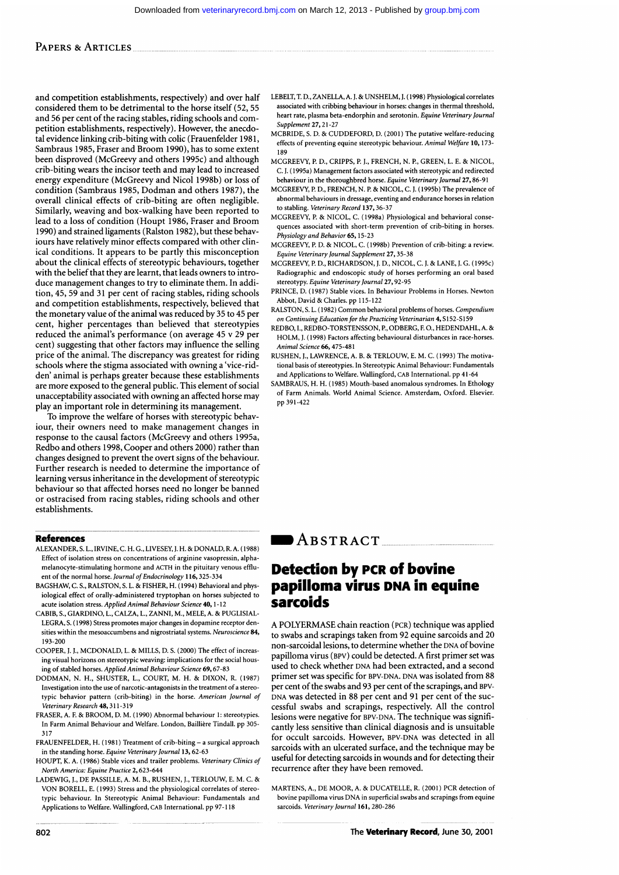## PAPERS & ARTICLES

and competition establishments, respectively) and over half considered them to be detrimental to the horse itself (52, 55 and 56 per cent of the racing stables, riding schools and competition establishments, respectively). However, the anecdotal evidence linking crib-biting with colic (Frauenfelder 1981, Sambraus 1985, Fraser and Broom 1990), has to some extent been disproved (McGreevy and others 1995c) and although crib-biting wears the incisor teeth and may lead to increased energy expenditure (McGreevy and Nicol 1998b) or loss of condition (Sambraus 1985, Dodman and others 1987), the overall clinical effects of crib-biting are often negligible. Similarly, weaving and box-walking have been reported to lead to a loss of condition (Houpt 1986, Fraser and Broom 1990) and strained ligaments (Ralston 1982), but these behaviours have relatively minor effects compared with other clinical conditions. It appears to be partly this misconception about the clinical effects of stereotypic behaviours, together with the belief that they are learnt, that leads owners to introduce management changes to try to eliminate them. In addition, 45, 59 and 31 per cent of racing stables, riding schools and competition establishments, respectively, believed that the monetary value of the animal was reduced by 35 to 45 per cent, higher percentages than believed that stereotypies reduced the animal's performance (on average 45 v 29 per cent) suggesting that other factors may influence the selling price of the animal. The discrepancy was greatest for riding schools where the stigma associated with owning a 'vice-ridden' animal is perhaps greater because these establishments are more exposed to the general public. This element of social unacceptability associated with owning an affected horse may play an important role in determining its management.

To improve the welfare of horses with stereotypic behaviour, their owners need to make management changes in response to the causal factors (McGreevy and others 1995a, Redbo and others 1998, Cooper and others 2000) rather than changes designed to prevent the overt signs of the behaviour. Further research is needed to determine the importance of learning versus inheritance in the development of stereotypic behaviour so that affected horses need no longer be banned or ostracised from racing stables, riding schools and other establishments.

### References

- ALEXANDER, S. L., IRVINE, C. H. G., LIVESEY, J. H. & DONALD, R. A. (1988) Effect of isolation stress on concentrations of arginine vasopressin, alphamelanocyte-stimulating hormone and ACTH in the pituitary venous effluent of the normal horse. Journal of Endocrinology 116,325-334
- BAGSHAW, C. S., RALSTON, S. L. & FISHER, H. (1994) Behavioral and physiological effect of orally-administered tryptophan on horses subjected to acute isolation stress. Applied Animal Behaviour Science 40, 1-12
- CABIB, S., GIARDINO, L., CALZA, L., ZANNI, M., MELE, A. & PUGLISIAL-LEGRA, S. (1998) Stress promotes major changes in dopamine receptor densities within the mesoaccumbens and nigrostriatal systems. Neuroscience 84, 193-200
- COOPER, J. J., MCDONALD, L. & MILLS, D. S. (2000) The effect of increasing visual horizons on stereotypic weaving: implications for the social housing of stabled horses. Applied Animal Behaviour Science 69,67-83
- DODMAN, N. H., SHUSTER, L., COURT, M. H. & DIXON, R. (1987) Investigation into the use of narcotic-antagonists in the treatment of a stereotypic behavior pattern (crib-biting) in the horse. American Journal of Veterinary Research 48, 31 1-319
- FRASER, A. F. & BROOM, D. M. (1990) Abnormal behaviour 1: stereotypies. In Farm Animal Behaviour and Welfare. London, Bailliere Tindall. pp 305- 317
- FRAUENFELDER, H. (1981) Treatment of crib-biting a surgical approach in the standing horse. Equine Veterinary Journal 13, 62-63
- HOUPT, K. A. (1986) Stable vices and trailer problems. Veterinary Clinics of North America: Equine Practice 2,623-644
- LADEWIG, J., DE PASSILLE, A. M. B., RUSHEN, J., TERLOUW, E. M. C. & VON BORELL, E. (1993) Stress and the physiological correlates of stereotypic behaviour. In Stereotypic Animal Behaviour: Fundamentals and Applications to Welfare. Wallingford, CAB International. pp 97-118
- LEBELT, T. D., ZANELLA, A. J. & UNSHELM, J. (1998) Physiological correlates associated with cribbing behaviour in horses: changes in thermal threshold, heart rate, plasma beta-endorphin and serotonin. Equine Veterinary Journal Supplement 27,21-27
- MCBRIDE, S. D. & CUDDEFORD, D. (2001) The putative welfare-reducing effects of preventing equine stereotypic behaviour. Animal Welfare 10, 173- 189
- MCGREEVY, P. D., CRIPPS, P. J., FRENCH, N. P., GREEN, L. E. & NICOL, C. J. (1995a) Management factors associated with stereotypic and redirected behaviour in the thoroughbred horse. Equine Veterinary Journal 27, 86-91
- MCGREEVY, P. D., FRENCH, N. P. & NICOL, C. J. (1995b) The prevalence of abnormal behaviours in dressage, eventing and endurance horses in relation to stabling. Veterinary Record 137,36-37
- MCGREEVY, P. & NICOL, C. (1998a) Physiological and behavioral consequences associated with short-term prevention of crib-biting in horses. Physiology and Behavior 65, 15-23
- MCGREEVY, P. D. & NICOL, C. (1998b) Prevention of crib-biting: <sup>a</sup> review. Equine Veterinary Journal Supplement 27, 35-38
- MCGREEVY, P. D., RICHARDSON, J. D., NICOL, C. J. & LANE, J. G. (1995c) Radiographic and endoscopic study of horses performing an oral based stereotypy. Equine Veterinary Journal 27, 92-95
- PRINCE, D. (1987) Stable vices. In Behaviour Problems in Horses. Newton Abbot, David & Charles. pp 115-122
- RALSTON, S. L. (1982) Common behavioral problems of horses. Compendium on Continuing Education for the Practicing Veterinarian 4, S152-S159
- REDBO I., REDBO-TORSTENSSON, P. ODBERG, F.O., HEDENDAHL, A. & HOLM, J. (1998) Factors affecting behavioural disturbances in race-horses. Animal Science 66, 475-481
- RUSHEN, J., LAWRENCE, A. B. & TERLOUW, E. M. C. (1993) The motivational basis of stereotypies. In Stereotypic Animal Behaviour: Fundamentals and Applications to Welfare. Wallingford, CAB International. pp 41-64
- SAMBRAUS, H. H. (1985) Mouth-based anomalous syndromes. In Ethology of Farm Animals. World Animal Science. Amsterdam, Oxford. Elsevier. pp 391-422

## $\blacksquare$  ABSTRACT

# Detection by PCR of bovine papilloma virus DNA in equine sarcoids

A POLYERMASE chain reaction (PCR) technique was applied to swabs and scrapings taken from 92 equine sarcoids and 20 non-sarcoidal lesions, to determine whether the DNA of bovine papilloma virus (BPV) could be detected. A first primer set was used to check whether DNA had been extracted, and <sup>a</sup> second primer set was specific for BPV-DNA. DNA was isolated from 88 per cent of the swabs and 93 per cent of the scrapings, and BPV-DNA was detected in 88 per cent and 91 per cent of the successful swabs and scrapings, respectively. All the control lesions were negative for BPV-DNA. The technique was significantly less sensitive than clinical diagnosis and is unsuitable for occult sarcoids. However, BPV-DNA was detected in all sarcoids with an ulcerated surface, and the technique may be useful for detecting sarcoids in wounds and for detecting their recurrence after they have been removed.

MARTENS, A., DE MOOR, A. & DUCATELLE, R. (2001) PCR detection of bovine papilloma virus DNA in superficial swabs and scrapings from equine sarcoids. Veterinary Journal 161, 280-286